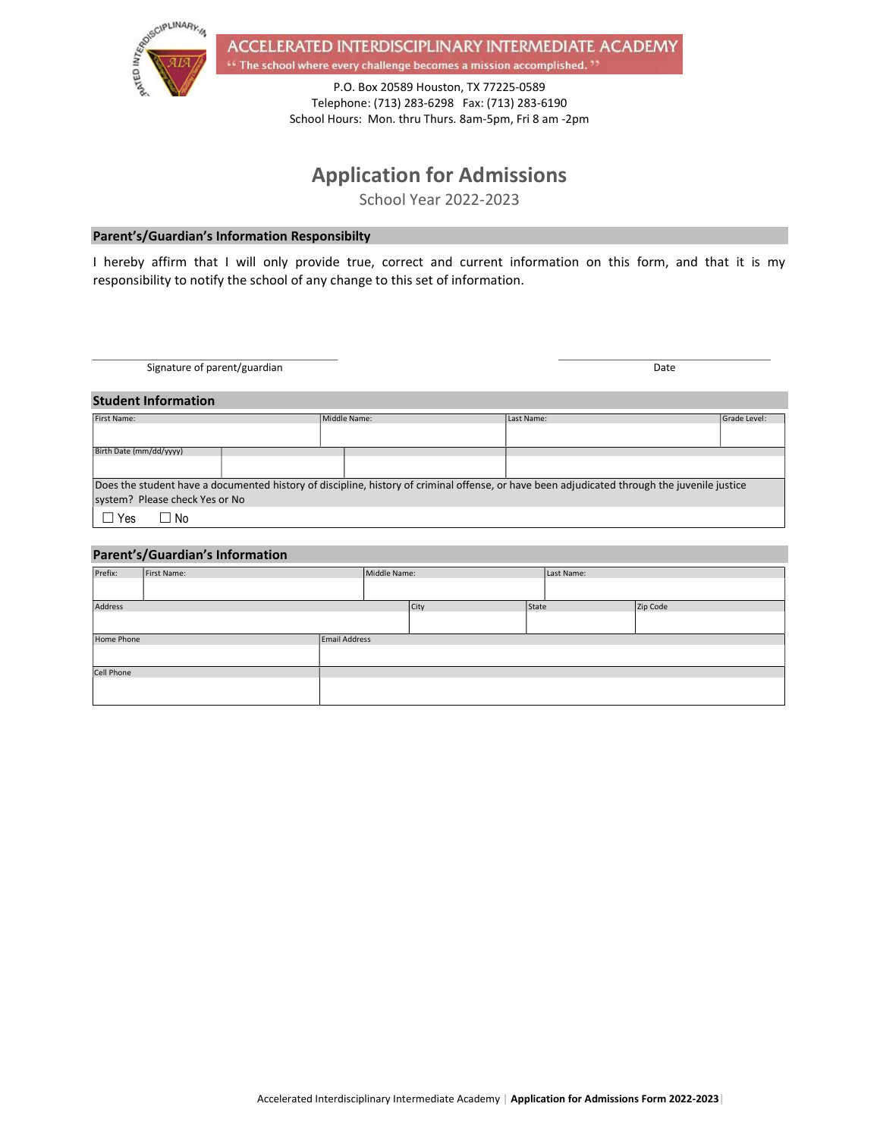

ACCELERATED INTERDISCIPLINARY INTERMEDIATE ACADEMY <sup>64</sup> The school where every challenge becomes a mission accomplished.<sup>77</sup>

> P.O. Box 20589 Houston, TX 77225-0589 Telephone: (713) 283-6298 Fax: (713) 283-6190 School Hours: Mon. thru Thurs. 8am-5pm, Fri 8 am -2pm

# Application for Admissions

School Year 2022-2023

## Parent's/Guardian's Information Responsibilty

I hereby affirm that I will only provide true, correct and current information on this form, and that it is my responsibility to notify the school of any change to this set of information.

Signature of parent/guardian Date of the United States of Date of Date of Date of Date of Date of Date of Date of Date of Date of Date of Date of Date of Date of Date of Date of Date of Date of Date of Date of Date of Date

### Student Information

| First Name:                                                                                                                                  |  | Middle Name: |  | Last Name: | Grade Level: |  |  |
|----------------------------------------------------------------------------------------------------------------------------------------------|--|--------------|--|------------|--------------|--|--|
|                                                                                                                                              |  |              |  |            |              |  |  |
|                                                                                                                                              |  |              |  |            |              |  |  |
| Birth Date (mm/dd/yyyy)                                                                                                                      |  |              |  |            |              |  |  |
|                                                                                                                                              |  |              |  |            |              |  |  |
|                                                                                                                                              |  |              |  |            |              |  |  |
| Does the student have a documented history of discipline, history of criminal offense, or have been adjudicated through the juvenile justice |  |              |  |            |              |  |  |
| system? Please check Yes or No                                                                                                               |  |              |  |            |              |  |  |
| Yes<br>No.                                                                                                                                   |  |              |  |            |              |  |  |

### Parent's/Guardian's Information

| Prefix:    | First Name: | Middle Name:  |  |      | Last Name: |  |          |
|------------|-------------|---------------|--|------|------------|--|----------|
|            |             |               |  |      |            |  |          |
| Address    |             |               |  | City | State      |  | Zip Code |
|            |             |               |  |      |            |  |          |
| Home Phone |             | Email Address |  |      |            |  |          |
|            |             |               |  |      |            |  |          |
| Cell Phone |             |               |  |      |            |  |          |
|            |             |               |  |      |            |  |          |